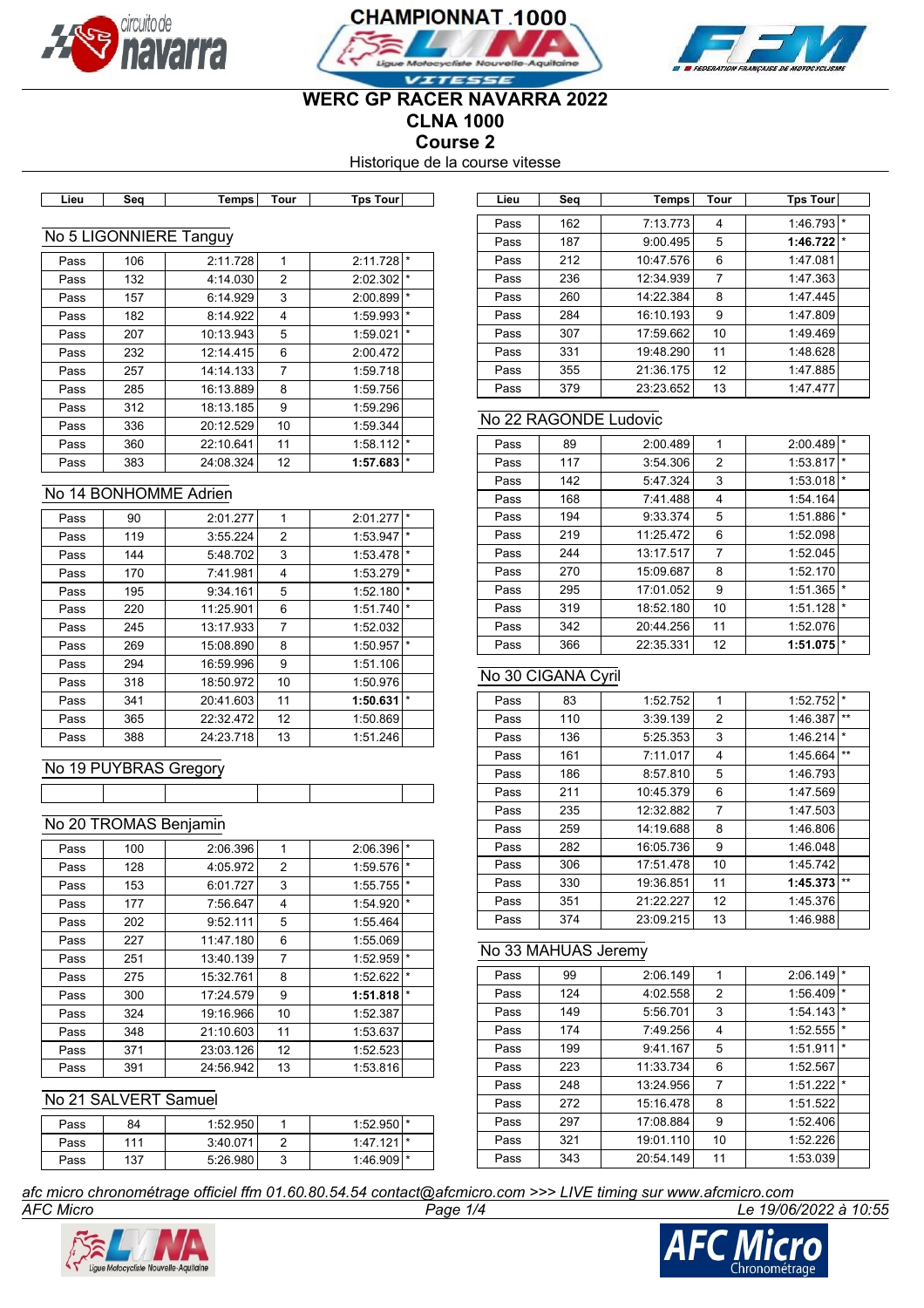





## **WERC GP RACER NAVARRA 2022 CLNA 1000**

**Course 2**

Historique de la course vitesse

| . | ----- | Tempsi | ı our |  |
|---|-------|--------|-------|--|
|   |       |        |       |  |
|   |       |        |       |  |

**Lieu Tps Tour Temps Temps Temps** 

## No 5 LIGONNIERE Tanguy

| Pass | 106 | 2:11.728  | 1              | 2:11.728 |         |
|------|-----|-----------|----------------|----------|---------|
| Pass | 132 | 4:14.030  | 2              | 2:02.302 | ∣ *     |
| Pass | 157 | 6:14.929  | 3              | 2:00.899 | $\star$ |
| Pass | 182 | 8:14.922  | 4              | 1:59.993 | $\star$ |
| Pass | 207 | 10:13.943 | 5              | 1:59.021 | $\star$ |
| Pass | 232 | 12:14.415 | 6              | 2:00.472 |         |
| Pass | 257 | 14:14.133 | $\overline{7}$ | 1:59.718 |         |
| Pass | 285 | 16:13.889 | 8              | 1:59.756 |         |
| Pass | 312 | 18:13.185 | 9              | 1:59.296 |         |
| Pass | 336 | 20:12.529 | 10             | 1:59.344 |         |
| Pass | 360 | 22:10.641 | 11             | 1:58.112 | $\star$ |
| Pass | 383 | 24:08.324 | 12             | 1:57.683 | $\star$ |

### No 14 BONHOMME Adrien

| Pass | 90  | 2:01.277  | 1              | 2:01.277 | $\star$ |
|------|-----|-----------|----------------|----------|---------|
| Pass | 119 | 3:55.224  | $\overline{2}$ | 1:53.947 | $\star$ |
| Pass | 144 | 5:48.702  | 3              | 1:53.478 | $\star$ |
| Pass | 170 | 7:41.981  | 4              | 1:53.279 | $\star$ |
| Pass | 195 | 9:34.161  | 5              | 1:52.180 | $\star$ |
| Pass | 220 | 11:25.901 | 6              | 1:51.740 | $\star$ |
| Pass | 245 | 13:17.933 | 7              | 1:52.032 |         |
| Pass | 269 | 15:08.890 | 8              | 1:50.957 | $\star$ |
| Pass | 294 | 16:59.996 | 9              | 1:51.106 |         |
| Pass | 318 | 18:50.972 | 10             | 1:50.976 |         |
| Pass | 341 | 20:41.603 | 11             | 1:50.631 | $\star$ |
| Pass | 365 | 22:32.472 | 12             | 1:50.869 |         |
| Pass | 388 | 24:23.718 | 13             | 1:51.246 |         |

## No 19 PUYBRAS Gregory

## No 20 TROMAS Benjamin

| Pass | 100 | 2:06.396  | 1  | 2:06.396 | $\star$  |
|------|-----|-----------|----|----------|----------|
| Pass | 128 | 4:05.972  | 2  | 1:59.576 | $\star$  |
| Pass | 153 | 6:01.727  | 3  | 1:55.755 | $\star$  |
| Pass | 177 | 7:56.647  | 4  | 1:54.920 | $^\star$ |
| Pass | 202 | 9:52.111  | 5  | 1:55.464 |          |
| Pass | 227 | 11:47.180 | 6  | 1:55.069 |          |
| Pass | 251 | 13:40.139 | 7  | 1:52.959 | $\star$  |
| Pass | 275 | 15:32.761 | 8  | 1:52.622 | $\star$  |
| Pass | 300 | 17:24.579 | 9  | 1:51.818 | $\star$  |
| Pass | 324 | 19:16.966 | 10 | 1:52.387 |          |
| Pass | 348 | 21:10.603 | 11 | 1:53.637 |          |
| Pass | 371 | 23:03.126 | 12 | 1:52.523 |          |
| Pass | 391 | 24:56.942 | 13 | 1:53.816 |          |

## No 21 SALVERT Samuel

| Pass | 84  | 1:52.950 |   | $1:52.950$ <sup>*</sup> |  |
|------|-----|----------|---|-------------------------|--|
| Pass | 111 | 3:40.071 |   | $1:47.121$ $\uparrow$   |  |
| Pass | 137 | 5:26.980 | ບ | $1:46.9091*$            |  |

| Lieu | Sea | Temps     | Tour | Tps Tour |         |
|------|-----|-----------|------|----------|---------|
|      |     |           |      |          |         |
| Pass | 162 | 7:13.773  | 4    | 1:46.793 | $\star$ |
| Pass | 187 | 9:00.495  | 5    | 1:46.722 | $\star$ |
| Pass | 212 | 10:47.576 | 6    | 1:47.081 |         |
| Pass | 236 | 12:34.939 | 7    | 1:47.363 |         |
| Pass | 260 | 14:22.384 | 8    | 1:47.445 |         |
| Pass | 284 | 16:10.193 | 9    | 1:47.809 |         |
| Pass | 307 | 17:59.662 | 10   | 1:49.469 |         |
| Pass | 331 | 19:48.290 | 11   | 1:48.628 |         |
| Pass | 355 | 21:36.175 | 12   | 1:47.885 |         |
| Pass | 379 | 23:23.652 | 13   | 1:47.477 |         |

## No 22 RAGONDE Ludovic

| Pass | 89  | 2:00.489  | 1  | 2:00.489 | $\star$ |
|------|-----|-----------|----|----------|---------|
| Pass | 117 | 3:54.306  | 2  | 1:53.817 | $\star$ |
| Pass | 142 | 5:47.324  | 3  | 1:53.018 | $\star$ |
| Pass | 168 | 7:41.488  | 4  | 1:54.164 |         |
| Pass | 194 | 9:33.374  | 5  | 1:51.886 | $\star$ |
| Pass | 219 | 11:25.472 | 6  | 1:52.098 |         |
| Pass | 244 | 13:17.517 | 7  | 1:52.045 |         |
| Pass | 270 | 15:09.687 | 8  | 1:52.170 |         |
| Pass | 295 | 17:01.052 | 9  | 1:51.365 | $\star$ |
| Pass | 319 | 18:52.180 | 10 | 1:51.128 | $\star$ |
| Pass | 342 | 20:44.256 | 11 | 1:52.076 |         |
| Pass | 366 | 22:35.331 | 12 | 1:51.075 | $\star$ |

## No 30 CIGANA Cyril

| Pass | 83  | 1:52.752  | 1  | 1:52.752 | $\star$ |
|------|-----|-----------|----|----------|---------|
| Pass | 110 | 3:39.139  | 2  | 1:46.387 | $***$   |
| Pass | 136 | 5:25.353  | 3  | 1:46.214 | $\star$ |
| Pass | 161 | 7:11.017  | 4  | 1:45.664 | $***$   |
| Pass | 186 | 8:57.810  | 5  | 1:46.793 |         |
| Pass | 211 | 10:45.379 | 6  | 1:47.569 |         |
| Pass | 235 | 12:32.882 | 7  | 1:47.503 |         |
| Pass | 259 | 14:19.688 | 8  | 1:46.806 |         |
| Pass | 282 | 16:05.736 | 9  | 1:46.048 |         |
| Pass | 306 | 17:51.478 | 10 | 1:45.742 |         |
| Pass | 330 | 19:36.851 | 11 | 1:45.373 | $***$   |
| Pass | 351 | 21:22.227 | 12 | 1:45.376 |         |
| Pass | 374 | 23:09.215 | 13 | 1:46.988 |         |

## No 33 MAHUAS Jeremy

| Pass | 99  | 2:06.149  | 1  | 2:06.149 | $\star$ |
|------|-----|-----------|----|----------|---------|
| Pass | 124 | 4:02.558  | 2  | 1:56.409 | $\star$ |
| Pass | 149 | 5:56.701  | 3  | 1:54.143 | $\star$ |
| Pass | 174 | 7:49.256  | 4  | 1:52.555 | $\star$ |
| Pass | 199 | 9:41.167  | 5  | 1:51.911 | $\star$ |
| Pass | 223 | 11:33.734 | 6  | 1:52.567 |         |
| Pass | 248 | 13:24.956 | 7  | 1:51.222 | $\star$ |
| Pass | 272 | 15:16.478 | 8  | 1:51.522 |         |
| Pass | 297 | 17:08.884 | 9  | 1:52.406 |         |
| Pass | 321 | 19:01.110 | 10 | 1:52.226 |         |
| Pass | 343 | 20:54.149 | 11 | 1:53.039 |         |

*AFC Micro Page 1/4 Le 19/06/2022 à 10:55 afc micro chronométrage officiel ffm 01.60.80.54.54 contact@afcmicro.com >>> LIVE timing sur www.afcmicro.com*



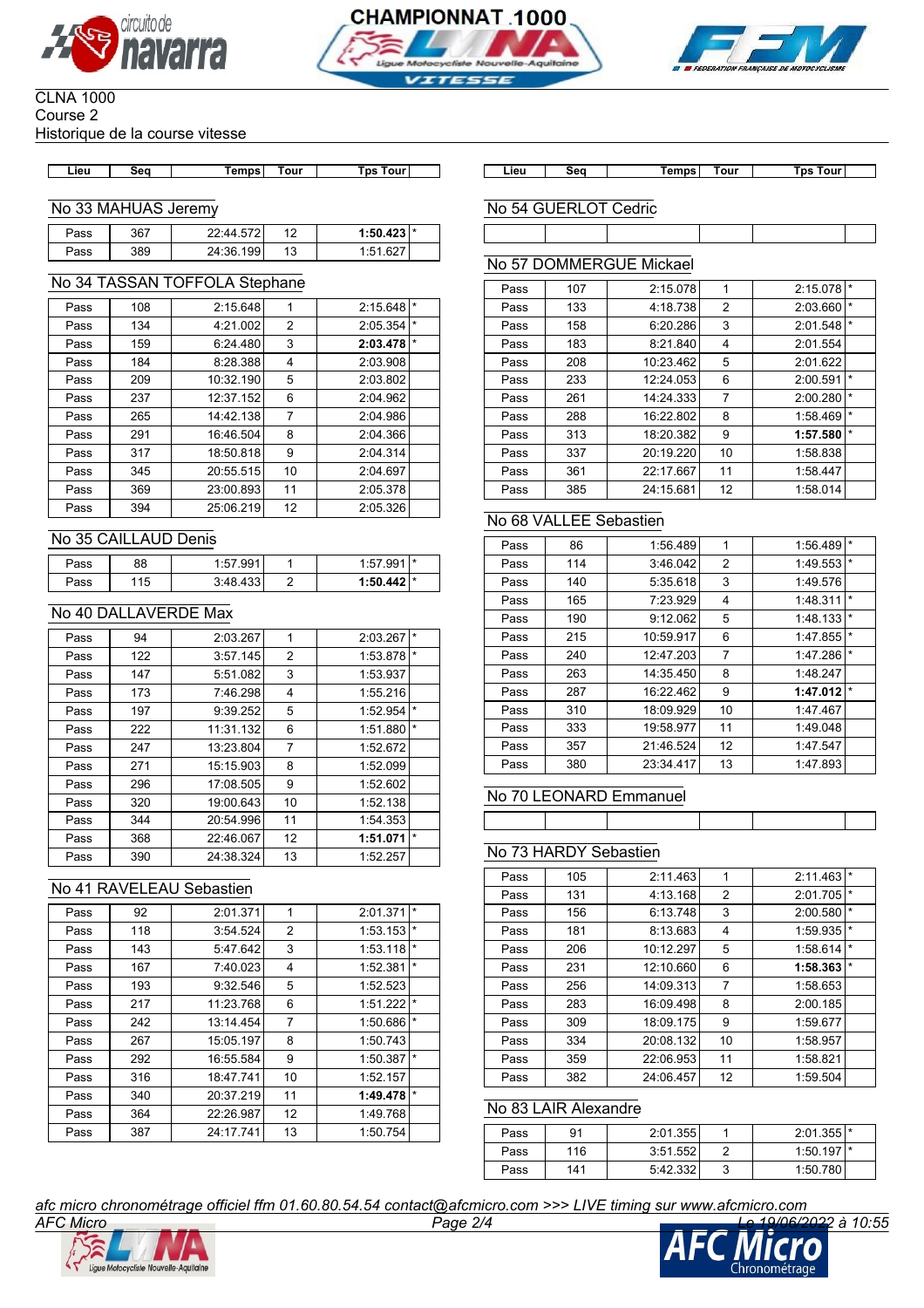





#### CLNA 1000 Course 2 Historique de la course vitesse

**Lieu Seq Temps Tour Tps Tour Lieu Seq Temps Tour Tps Tour**

No 33 MAHUAS Jeremy

| Pass | 367 | 22:44.572 | 10        | $1:50.423$ $*$ |  |
|------|-----|-----------|-----------|----------------|--|
| Pass | 389 | 24:36.199 | 12<br>ט ו | 1:51.627       |  |

## No 34 TASSAN TOFFOLA Stephane

| Pass | 108 | 2:15.648  | 1              | 2:15.648 | $\star$ |
|------|-----|-----------|----------------|----------|---------|
| Pass | 134 | 4:21.002  | 2              | 2:05.354 | $\star$ |
| Pass | 159 | 6:24.480  | 3              | 2:03.478 | $\star$ |
| Pass | 184 | 8:28.388  | 4              | 2:03.908 |         |
| Pass | 209 | 10:32.190 | 5              | 2:03.802 |         |
| Pass | 237 | 12:37.152 | 6              | 2:04.962 |         |
| Pass | 265 | 14:42.138 | $\overline{7}$ | 2:04.986 |         |
| Pass | 291 | 16:46.504 | 8              | 2:04.366 |         |
| Pass | 317 | 18:50.818 | 9              | 2:04.314 |         |
| Pass | 345 | 20:55.515 | 10             | 2:04.697 |         |
| Pass | 369 | 23:00.893 | 11             | 2:05.378 |         |
| Pass | 394 | 25:06.219 | 12             | 2:05.326 |         |
|      |     |           |                |          |         |

## No 35 CAILLAUD Denis

| Pass | 88  | ∩∩ 1<br>. JJ           | .           | $\mathbf{r}$ |
|------|-----|------------------------|-------------|--------------|
| ass' | 115 | $\sim$<br>າ. 10<br>ຯບບ | ้ ∗ 1442. . |              |

### No 40 DALLAVERDE Max

| Pass | 94  | 2:03.267  | 1              | 2:03.267 | $\star$ |
|------|-----|-----------|----------------|----------|---------|
| Pass | 122 | 3:57.145  | $\overline{2}$ | 1:53.878 | $\star$ |
| Pass | 147 | 5:51.082  | 3              | 1:53.937 |         |
| Pass | 173 | 7:46.298  | 4              | 1:55.216 |         |
| Pass | 197 | 9:39.252  | 5              | 1:52.954 | $\star$ |
| Pass | 222 | 11:31.132 | 6              | 1:51.880 | $\star$ |
| Pass | 247 | 13:23.804 | 7              | 1:52.672 |         |
| Pass | 271 | 15:15.903 | 8              | 1:52.099 |         |
| Pass | 296 | 17:08.505 | 9              | 1:52.602 |         |
| Pass | 320 | 19:00.643 | 10             | 1:52.138 |         |
| Pass | 344 | 20:54.996 | 11             | 1:54.353 |         |
| Pass | 368 | 22:46.067 | 12             | 1:51.071 | $\star$ |
| Pass | 390 | 24:38.324 | 13             | 1:52.257 |         |

### No 41 RAVELEAU Sebastien

| Pass | 92  | 2:01.371  | 1  | 2:01.371 | $\star$  |
|------|-----|-----------|----|----------|----------|
| Pass | 118 | 3:54.524  | 2  | 1:53.153 | $\star$  |
| Pass | 143 | 5:47.642  | 3  | 1:53.118 | $\star$  |
| Pass | 167 | 7:40.023  | 4  | 1:52.381 | $\star$  |
| Pass | 193 | 9:32.546  | 5  | 1:52.523 |          |
| Pass | 217 | 11:23.768 | 6  | 1:51.222 | $\star$  |
| Pass | 242 | 13:14.454 | 7  | 1:50.686 | $\star$  |
| Pass | 267 | 15:05.197 | 8  | 1:50.743 |          |
| Pass | 292 | 16:55.584 | 9  | 1:50.387 | $\star$  |
| Pass | 316 | 18:47.741 | 10 | 1:52.157 |          |
| Pass | 340 | 20:37.219 | 11 | 1:49.478 | $^\star$ |
| Pass | 364 | 22:26.987 | 12 | 1:49.768 |          |
| Pass | 387 | 24:17.741 | 13 | 1:50.754 |          |
|      |     |           |    |          |          |

No 54 GUERLOT Cedric

## No 57 DOMMERGUE Mickael

| Pass | 107 | 2:15.078  | 1              | $\star$<br>2:15.078 |  |
|------|-----|-----------|----------------|---------------------|--|
| Pass | 133 | 4:18.738  | $\overline{2}$ | $\star$<br>2:03.660 |  |
| Pass | 158 | 6:20.286  | 3              | $\star$<br>2:01.548 |  |
| Pass | 183 | 8:21.840  | 4              | 2:01.554            |  |
| Pass | 208 | 10:23.462 | 5              | 2:01.622            |  |
| Pass | 233 | 12:24.053 | 6              | $\star$<br>2:00.591 |  |
| Pass | 261 | 14:24.333 | 7              | $\star$<br>2:00.280 |  |
| Pass | 288 | 16:22.802 | 8              | $\star$<br>1:58.469 |  |
| Pass | 313 | 18:20.382 | 9              | $\star$<br>1:57.580 |  |
| Pass | 337 | 20:19.220 | 10             | 1:58.838            |  |
| Pass | 361 | 22:17.667 | 11             | 1:58.447            |  |
| Pass | 385 | 24:15.681 | 12             | 1:58.014            |  |

## No 68 VALLEE Sebastien

| Pass | 86  | 1:56.489  | 1              | 1:56.489 | $\star$ |
|------|-----|-----------|----------------|----------|---------|
| Pass | 114 | 3:46.042  | 2              | 1:49.553 | $\star$ |
| Pass | 140 | 5:35.618  | 3              | 1:49.576 |         |
| Pass | 165 | 7:23.929  | 4              | 1:48.311 | $\star$ |
| Pass | 190 | 9:12.062  | 5              | 1:48.133 | $\star$ |
| Pass | 215 | 10:59.917 | 6              | 1:47.855 | $\star$ |
| Pass | 240 | 12:47.203 | $\overline{7}$ | 1:47.286 | $\star$ |
| Pass | 263 | 14:35.450 | 8              | 1:48.247 |         |
| Pass | 287 | 16:22.462 | 9              | 1:47.012 | $\star$ |
| Pass | 310 | 18:09.929 | 10             | 1:47.467 |         |
| Pass | 333 | 19:58.977 | 11             | 1:49.048 |         |
| Pass | 357 | 21:46.524 | 12             | 1:47.547 |         |
| Pass | 380 | 23:34.417 | 13             | 1:47.893 |         |

## No 70 LEONARD Emmanuel

## No 73 HARDY Sebastien

| Pass | 105 | 2:11.463  | 1              | 2:11.463 | $\star$ |
|------|-----|-----------|----------------|----------|---------|
| Pass | 131 | 4:13.168  | $\overline{2}$ | 2:01.705 | $\star$ |
| Pass | 156 | 6:13.748  | 3              | 2:00.580 | $\star$ |
| Pass | 181 | 8:13.683  | 4              | 1:59.935 | $\star$ |
| Pass | 206 | 10:12.297 | 5              | 1:58.614 | $\star$ |
| Pass | 231 | 12:10.660 | 6              | 1:58.363 | $\star$ |
| Pass | 256 | 14:09.313 | $\overline{7}$ | 1:58.653 |         |
| Pass | 283 | 16:09.498 | 8              | 2:00.185 |         |
| Pass | 309 | 18:09.175 | 9              | 1:59.677 |         |
| Pass | 334 | 20:08.132 | 10             | 1:58.957 |         |
| Pass | 359 | 22:06.953 | 11             | 1:58.821 |         |
| Pass | 382 | 24:06.457 | 12             | 1:59.504 |         |
|      |     |           |                |          |         |

#### No 83 LAIR Alexandre

| Pass | 91  | 2:01.355 | $2:01.355$ <sup>*</sup> |  |
|------|-----|----------|-------------------------|--|
| Pass | 116 | 3:51.552 | $1:50.197$ <sup>*</sup> |  |
| Pass | 141 | 5:42.332 | 1:50.780                |  |

*afc micro chronométrage officiel ffm 01.60.80.54.54 contact@afcmicro.com >>> LIVE timing sur www.afcmicro.com*



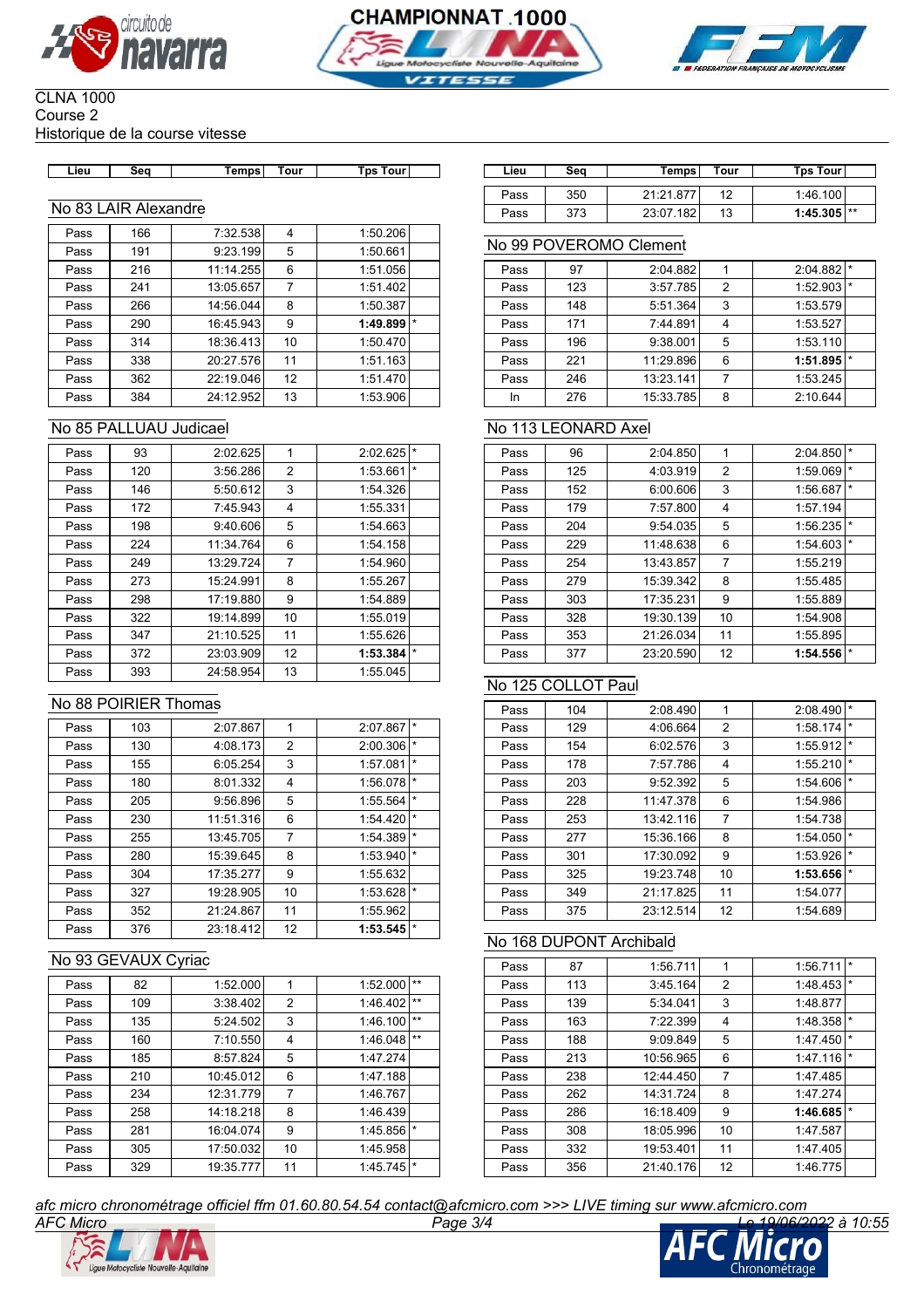





#### CLNA 1000 Course 2 Historique de la course vitesse

| ∟ieu | Sea | Temps | Tour | <b>Tps Tour</b> |
|------|-----|-------|------|-----------------|

#### No 83 LAIR Alexandre

| Pass | 166 | 7:32.538  | 4  | 1:50.206            |
|------|-----|-----------|----|---------------------|
| Pass | 191 | 9:23.199  | 5  | 1:50.661            |
| Pass | 216 | 11:14.255 | 6  | 1:51.056            |
| Pass | 241 | 13:05.657 | 7  | 1:51.402            |
| Pass | 266 | 14:56.044 | 8  | 1:50.387            |
| Pass | 290 | 16:45.943 | 9  | $\star$<br>1:49.899 |
| Pass | 314 | 18:36.413 | 10 | 1:50.470            |
| Pass | 338 | 20:27.576 | 11 | 1:51.163            |
| Pass | 362 | 22:19.046 | 12 | 1:51.470            |
| Pass | 384 | 24:12.952 | 13 | 1:53.906            |

### No 85 PALLUAU Judicael

| Pass | 93  | 2:02.625  | 1  | 2:02.625 | $\star$ |
|------|-----|-----------|----|----------|---------|
| Pass | 120 | 3:56.286  | 2  | 1:53.661 | $\star$ |
| Pass | 146 | 5:50.612  | 3  | 1:54.326 |         |
| Pass | 172 | 7:45.943  | 4  | 1:55.331 |         |
| Pass | 198 | 9:40.606  | 5  | 1:54.663 |         |
| Pass | 224 | 11:34.764 | 6  | 1:54.158 |         |
| Pass | 249 | 13:29.724 | 7  | 1:54.960 |         |
| Pass | 273 | 15:24.991 | 8  | 1:55.267 |         |
| Pass | 298 | 17:19.880 | 9  | 1:54.889 |         |
| Pass | 322 | 19:14.899 | 10 | 1:55.019 |         |
| Pass | 347 | 21:10.525 | 11 | 1:55.626 |         |
| Pass | 372 | 23:03.909 | 12 | 1:53.384 | *       |
| Pass | 393 | 24:58.954 | 13 | 1:55.045 |         |

### No 88 POIRIER Thomas

| Pass | 103 | 2:07.867  | 1              | 2:07.867 | $\star$ |
|------|-----|-----------|----------------|----------|---------|
| Pass | 130 | 4:08.173  | $\overline{2}$ | 2:00.306 | $\star$ |
| Pass | 155 | 6:05.254  | 3              | 1:57.081 | $\star$ |
| Pass | 180 | 8:01.332  | 4              | 1:56.078 | $\star$ |
| Pass | 205 | 9:56.896  | 5              | 1:55.564 | $\star$ |
| Pass | 230 | 11:51.316 | 6              | 1:54.420 | $\star$ |
| Pass | 255 | 13:45.705 | $\overline{7}$ | 1:54.389 | $\star$ |
| Pass | 280 | 15:39.645 | 8              | 1:53.940 | $\star$ |
| Pass | 304 | 17:35.277 | 9              | 1:55.632 |         |
| Pass | 327 | 19:28.905 | 10             | 1:53.628 | *       |
| Pass | 352 | 21:24.867 | 11             | 1:55.962 |         |
| Pass | 376 | 23:18.412 | 12             | 1:53.545 | *       |

## No 93 GEVAUX Cyriac

| Pass | 82  | 1:52.000  | 1              | 1:52.000 | $**$    |
|------|-----|-----------|----------------|----------|---------|
| Pass | 109 | 3:38.402  | 2              | 1:46.402 | $**$    |
| Pass | 135 | 5:24.502  | 3              | 1:46.100 | $**$    |
| Pass | 160 | 7:10.550  | 4              | 1:46.048 | $**$    |
| Pass | 185 | 8:57.824  | 5              | 1:47.274 |         |
| Pass | 210 | 10:45.012 | 6              | 1:47.188 |         |
| Pass | 234 | 12:31.779 | $\overline{7}$ | 1:46.767 |         |
| Pass | 258 | 14:18.218 | 8              | 1:46.439 |         |
| Pass | 281 | 16:04.074 | 9              | 1:45.856 | $\star$ |
| Pass | 305 | 17:50.032 | 10             | 1:45.958 |         |
| Pass | 329 | 19:35.777 | 11             | 1:45.745 | *       |

| Lieu | Seq                | <b>Temps</b> | Tour | <b>Tps Tour</b> | Lieu | Seq | Temps     | Tour      | Tps Tour      |
|------|--------------------|--------------|------|-----------------|------|-----|-----------|-----------|---------------|
|      |                    |              |      |                 | Pass | 350 | 21:21.877 | 12<br>.   | 1:46.100      |
| 83 ہ | _AIR_<br>Alexandre |              |      |                 | Pass | 373 | 23:07.182 | 12<br>ں ا | $1:45.305$ ** |

#### No 99 POVEROMO Clement

| Pass | 97  | 2:04.882  |                | 2:04.882 | $\star$ |
|------|-----|-----------|----------------|----------|---------|
| Pass | 123 | 3:57.785  | $\overline{2}$ | 1:52.903 |         |
| Pass | 148 | 5:51.364  | 3              | 1:53.579 |         |
| Pass | 171 | 7:44.891  |                | 1:53.527 |         |
| Pass | 196 | 9:38.001  | 5              | 1:53.110 |         |
| Pass | 221 | 11:29.896 | 6              | 1:51.895 |         |
| Pass | 246 | 13:23.141 | 7              | 1:53.245 |         |
| In   | 276 | 15:33.785 | 8              | 2:10.644 |         |

### No 113 LEONARD Axel

| Pass | 96  | 2:04.850  | 1  | 2:04.850 | $\star$ |
|------|-----|-----------|----|----------|---------|
| Pass | 125 | 4:03.919  | 2  | 1:59.069 | $\star$ |
| Pass | 152 | 6:00.606  | 3  | 1:56.687 | $\star$ |
| Pass | 179 | 7:57.800  | 4  | 1:57.194 |         |
| Pass | 204 | 9:54.035  | 5  | 1:56.235 | $\star$ |
| Pass | 229 | 11:48.638 | 6  | 1:54.603 | $\star$ |
| Pass | 254 | 13:43.857 | 7  | 1:55.219 |         |
| Pass | 279 | 15:39.342 | 8  | 1:55.485 |         |
| Pass | 303 | 17:35.231 | 9  | 1:55.889 |         |
| Pass | 328 | 19:30.139 | 10 | 1:54.908 |         |
| Pass | 353 | 21:26.034 | 11 | 1:55.895 |         |
| Pass | 377 | 23:20.590 | 12 | 1:54.556 | $\star$ |

#### No 125 COLLOT Paul

| Pass | 104 | 2:08.490  | 1  | 2:08.490 | *       |
|------|-----|-----------|----|----------|---------|
| Pass | 129 | 4:06.664  | 2  | 1:58.174 | $\star$ |
| Pass | 154 | 6:02.576  | 3  | 1:55.912 | $\star$ |
| Pass | 178 | 7:57.786  | 4  | 1:55.210 | $\star$ |
| Pass | 203 | 9:52.392  | 5  | 1:54.606 | $\star$ |
| Pass | 228 | 11:47.378 | 6  | 1:54.986 |         |
| Pass | 253 | 13:42.116 | 7  | 1:54.738 |         |
| Pass | 277 | 15:36.166 | 8  | 1:54.050 | $\star$ |
| Pass | 301 | 17:30.092 | 9  | 1:53.926 | $\star$ |
| Pass | 325 | 19:23.748 | 10 | 1:53.656 | $\star$ |
| Pass | 349 | 21:17.825 | 11 | 1:54.077 |         |
| Pass | 375 | 23:12.514 | 12 | 1:54.689 |         |

### No 168 DUPONT Archibald

| Pass | 87  | 1:56.711  | 1              | $\star$<br>1:56.711 |  |
|------|-----|-----------|----------------|---------------------|--|
| Pass | 113 | 3:45.164  | $\overline{2}$ | $\star$<br>1:48.453 |  |
| Pass | 139 | 5:34.041  | 3              | 1:48.877            |  |
| Pass | 163 | 7:22.399  | 4              | $\star$<br>1:48.358 |  |
| Pass | 188 | 9:09.849  | 5              | $\star$<br>1:47.450 |  |
| Pass | 213 | 10:56.965 | 6              | $\star$<br>1:47.116 |  |
| Pass | 238 | 12:44.450 | 7              | 1:47.485            |  |
| Pass | 262 | 14:31.724 | 8              | 1:47.274            |  |
| Pass | 286 | 16:18.409 | 9              | $\star$<br>1:46.685 |  |
| Pass | 308 | 18:05.996 | 10             | 1:47.587            |  |
| Pass | 332 | 19:53.401 | 11             | 1:47.405            |  |
| Pass | 356 | 21:40.176 | 12             | 1:46.775            |  |

*afc micro chronométrage officiel ffm 01.60.80.54.54 contact@afcmicro.com >>> LIVE timing sur www.afcmicro.com*